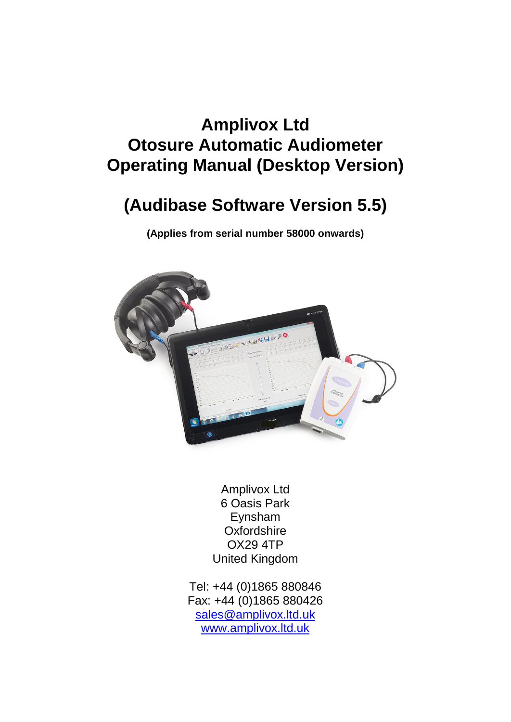# **Amplivox Ltd Otosure Automatic Audiometer Operating Manual (Desktop Version)**

# **(Audibase Software Version 5.5)**

**(Applies from serial number 58000 onwards)**



Amplivox Ltd 6 Oasis Park Eynsham **Oxfordshire** OX29 4TP United Kingdom

Tel: +44 (0)1865 880846 Fax: +44 (0)1865 880426 [sales@amplivox.ltd.uk](mailto:sales@amplivox.ltd.uk) [www.amplivox.ltd.uk](http://www.amplivox.ltd.uk/)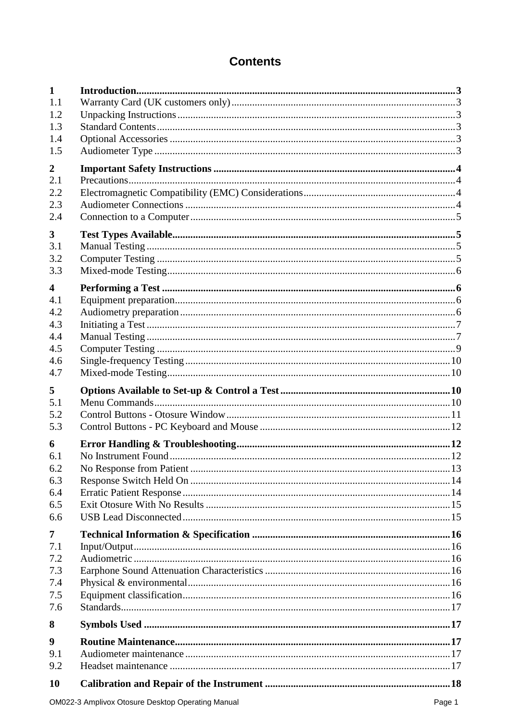# **Contents**

| $\mathbf{1}$            |  |
|-------------------------|--|
| 1.1                     |  |
| 1.2                     |  |
| 1.3                     |  |
| 1.4                     |  |
| 1.5                     |  |
|                         |  |
| $\boldsymbol{2}$        |  |
| 2.1                     |  |
| 2.2                     |  |
| 2.3                     |  |
| 2.4                     |  |
| $\overline{\mathbf{3}}$ |  |
| 3.1                     |  |
| 3.2                     |  |
|                         |  |
| 3.3                     |  |
| $\overline{\mathbf{4}}$ |  |
| 4.1                     |  |
| 4.2                     |  |
| 4.3                     |  |
| 4.4                     |  |
| 4.5                     |  |
| 4.6                     |  |
| 4.7                     |  |
|                         |  |
| 5                       |  |
| 5.1                     |  |
| 5.2                     |  |
| 5.3                     |  |
| 6                       |  |
| 6.1                     |  |
| 6.2                     |  |
| 6.3                     |  |
| 6.4                     |  |
| 6.5                     |  |
| 6.6                     |  |
|                         |  |
| 7                       |  |
| 7.1                     |  |
| 7.2                     |  |
| 7.3                     |  |
| 7.4                     |  |
| 7.5                     |  |
| 7.6                     |  |
| 8                       |  |
| 9                       |  |
| 9.1                     |  |
| 9.2                     |  |
| 10                      |  |
|                         |  |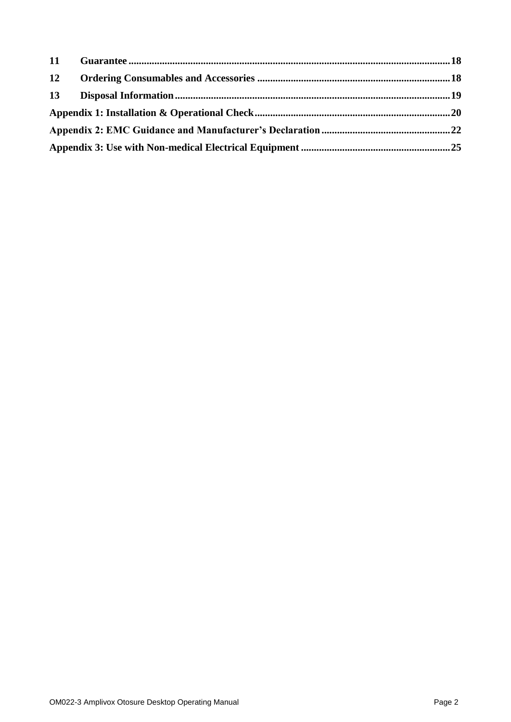| 12 |  |
|----|--|
|    |  |
|    |  |
|    |  |
|    |  |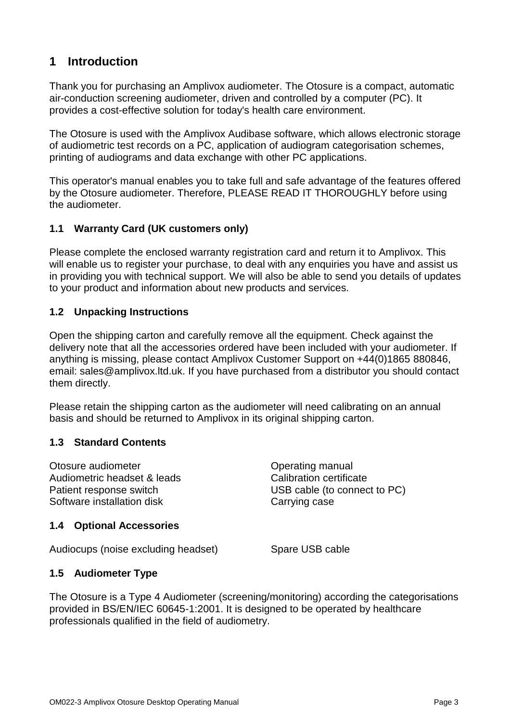# **1 Introduction**

Thank you for purchasing an Amplivox audiometer. The Otosure is a compact, automatic air-conduction screening audiometer, driven and controlled by a computer (PC). It provides a cost-effective solution for today's health care environment.

The Otosure is used with the Amplivox Audibase software, which allows electronic storage of audiometric test records on a PC, application of audiogram categorisation schemes, printing of audiograms and data exchange with other PC applications.

This operator's manual enables you to take full and safe advantage of the features offered by the Otosure audiometer. Therefore, PLEASE READ IT THOROUGHLY before using the audiometer.

#### **1.1 Warranty Card (UK customers only)**

Please complete the enclosed warranty registration card and return it to Amplivox. This will enable us to register your purchase, to deal with any enquiries you have and assist us in providing you with technical support. We will also be able to send you details of updates to your product and information about new products and services.

#### **1.2 Unpacking Instructions**

Open the shipping carton and carefully remove all the equipment. Check against the delivery note that all the accessories ordered have been included with your audiometer. If anything is missing, please contact Amplivox Customer Support on +44(0)1865 880846, email: sales@amplivox.ltd.uk. If you have purchased from a distributor you should contact them directly.

Please retain the shipping carton as the audiometer will need calibrating on an annual basis and should be returned to Amplivox in its original shipping carton.

#### **1.3 Standard Contents**

Otosure audiometer Audiometric headset & leads Patient response switch Software installation disk

#### **1.4 Optional Accessories**

Audiocups (noise excluding headset) Spare USB cable

Operating manual Calibration certificate USB cable (to connect to PC) Carrying case

#### **1.5 Audiometer Type**

The Otosure is a Type 4 Audiometer (screening/monitoring) according the categorisations provided in BS/EN/IEC 60645-1:2001. It is designed to be operated by healthcare professionals qualified in the field of audiometry.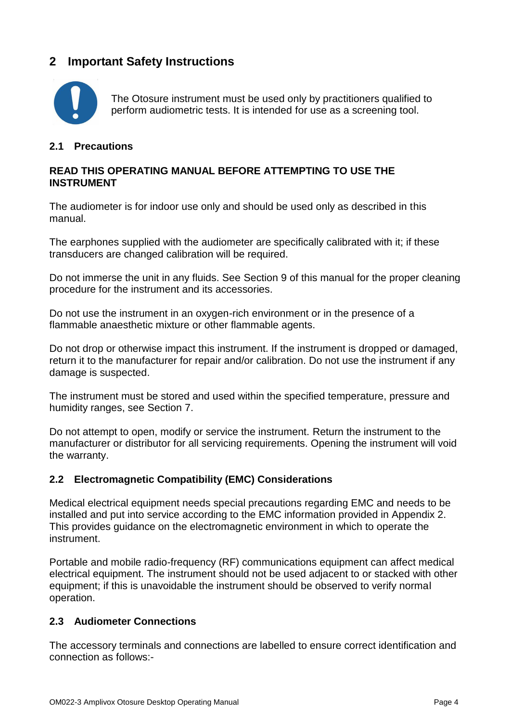# **2 Important Safety Instructions**



The Otosure instrument must be used only by practitioners qualified to perform audiometric tests. It is intended for use as a screening tool.

#### **2.1 Precautions**

#### **READ THIS OPERATING MANUAL BEFORE ATTEMPTING TO USE THE INSTRUMENT**

The audiometer is for indoor use only and should be used only as described in this manual.

The earphones supplied with the audiometer are specifically calibrated with it; if these transducers are changed calibration will be required.

Do not immerse the unit in any fluids. See Section 9 of this manual for the proper cleaning procedure for the instrument and its accessories.

Do not use the instrument in an oxygen-rich environment or in the presence of a flammable anaesthetic mixture or other flammable agents.

Do not drop or otherwise impact this instrument. If the instrument is dropped or damaged, return it to the manufacturer for repair and/or calibration. Do not use the instrument if any damage is suspected.

The instrument must be stored and used within the specified temperature, pressure and humidity ranges, see Section 7.

Do not attempt to open, modify or service the instrument. Return the instrument to the manufacturer or distributor for all servicing requirements. Opening the instrument will void the warranty.

#### **2.2 Electromagnetic Compatibility (EMC) Considerations**

Medical electrical equipment needs special precautions regarding EMC and needs to be installed and put into service according to the EMC information provided in Appendix 2. This provides guidance on the electromagnetic environment in which to operate the instrument.

Portable and mobile radio-frequency (RF) communications equipment can affect medical electrical equipment. The instrument should not be used adjacent to or stacked with other equipment; if this is unavoidable the instrument should be observed to verify normal operation.

#### **2.3 Audiometer Connections**

The accessory terminals and connections are labelled to ensure correct identification and connection as follows:-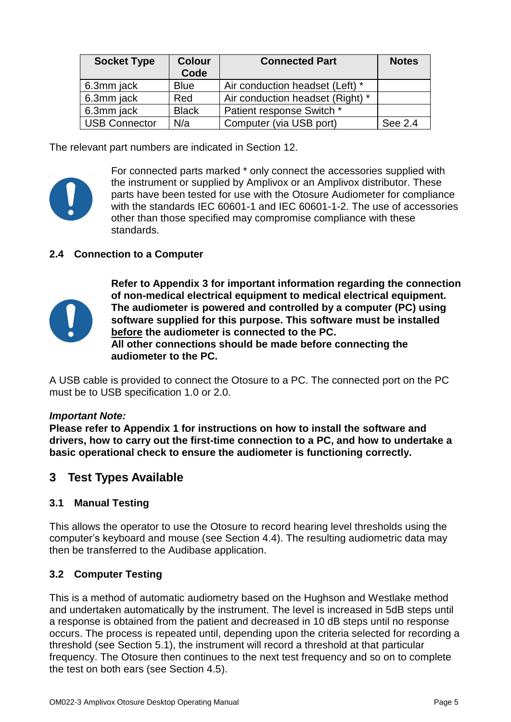| <b>Socket Type</b>   | <b>Colour</b><br>Code | <b>Connected Part</b>            | <b>Notes</b> |
|----------------------|-----------------------|----------------------------------|--------------|
| 6.3mm jack           | <b>Blue</b>           | Air conduction headset (Left) *  |              |
| 6.3mm jack           | Red                   | Air conduction headset (Right) * |              |
| 6.3mm jack           | <b>Black</b>          | Patient response Switch *        |              |
| <b>USB Connector</b> | N/a                   | Computer (via USB port)          | See 2.4      |

The relevant part numbers are indicated in Section 12.



For connected parts marked \* only connect the accessories supplied with the instrument or supplied by Amplivox or an Amplivox distributor. These parts have been tested for use with the Otosure Audiometer for compliance with the standards IEC 60601-1 and IEC 60601-1-2. The use of accessories other than those specified may compromise compliance with these standards.

#### **2.4 Connection to a Computer**



**Refer to Appendix 3 for important information regarding the connection of non-medical electrical equipment to medical electrical equipment. The audiometer is powered and controlled by a computer (PC) using software supplied for this purpose. This software must be installed before the audiometer is connected to the PC. All other connections should be made before connecting the audiometer to the PC.**

A USB cable is provided to connect the Otosure to a PC. The connected port on the PC must be to USB specification 1.0 or 2.0.

#### *Important Note:*

**Please refer to Appendix 1 for instructions on how to install the software and drivers, how to carry out the first-time connection to a PC, and how to undertake a basic operational check to ensure the audiometer is functioning correctly.**

# **3 Test Types Available**

#### **3.1 Manual Testing**

This allows the operator to use the Otosure to record hearing level thresholds using the computer's keyboard and mouse (see Section 4.4). The resulting audiometric data may then be transferred to the Audibase application.

#### **3.2 Computer Testing**

This is a method of automatic audiometry based on the Hughson and Westlake method and undertaken automatically by the instrument. The level is increased in 5dB steps until a response is obtained from the patient and decreased in 10 dB steps until no response occurs. The process is repeated until, depending upon the criteria selected for recording a threshold (see Section 5.1), the instrument will record a threshold at that particular frequency. The Otosure then continues to the next test frequency and so on to complete the test on both ears (see Section 4.5).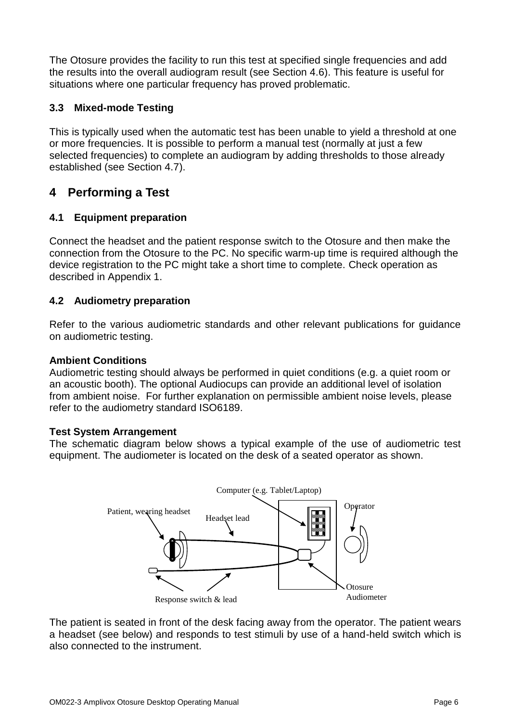The Otosure provides the facility to run this test at specified single frequencies and add the results into the overall audiogram result (see Section 4.6). This feature is useful for situations where one particular frequency has proved problematic.

### **3.3 Mixed-mode Testing**

This is typically used when the automatic test has been unable to yield a threshold at one or more frequencies. It is possible to perform a manual test (normally at just a few selected frequencies) to complete an audiogram by adding thresholds to those already established (see Section 4.7).

# **4 Performing a Test**

### **4.1 Equipment preparation**

Connect the headset and the patient response switch to the Otosure and then make the connection from the Otosure to the PC. No specific warm-up time is required although the device registration to the PC might take a short time to complete. Check operation as described in Appendix 1.

### **4.2 Audiometry preparation**

Refer to the various audiometric standards and other relevant publications for guidance on audiometric testing.

#### **Ambient Conditions**

Audiometric testing should always be performed in quiet conditions (e.g. a quiet room or an acoustic booth). The optional Audiocups can provide an additional level of isolation from ambient noise. For further explanation on permissible ambient noise levels, please refer to the audiometry standard ISO6189.

#### **Test System Arrangement**

The schematic diagram below shows a typical example of the use of audiometric test equipment. The audiometer is located on the desk of a seated operator as shown.



The patient is seated in front of the desk facing away from the operator. The patient wears a headset (see below) and responds to test stimuli by use of a hand-held switch which is also connected to the instrument.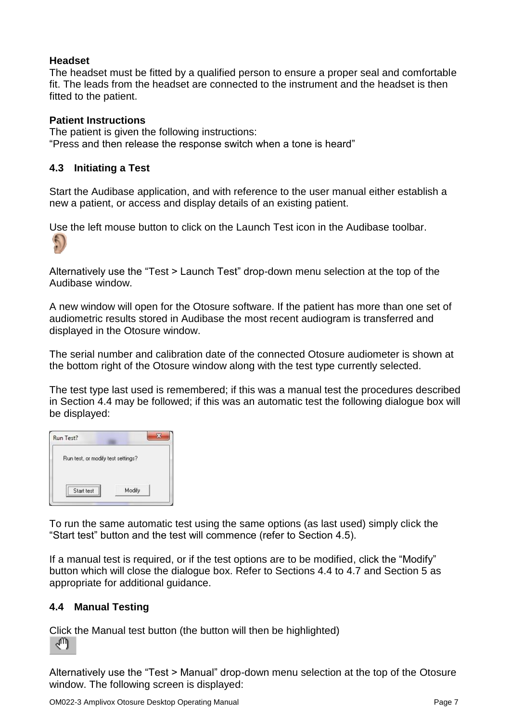#### **Headset**

The headset must be fitted by a qualified person to ensure a proper seal and comfortable fit. The leads from the headset are connected to the instrument and the headset is then fitted to the patient.

#### **Patient Instructions**

The patient is given the following instructions: "Press and then release the response switch when a tone is heard"

### **4.3 Initiating a Test**

Start the Audibase application, and with reference to the user manual either establish a new a patient, or access and display details of an existing patient.

Use the left mouse button to click on the Launch Test icon in the Audibase toolbar.



Alternatively use the "Test > Launch Test" drop-down menu selection at the top of the Audibase window.

A new window will open for the Otosure software. If the patient has more than one set of audiometric results stored in Audibase the most recent audiogram is transferred and displayed in the Otosure window.

The serial number and calibration date of the connected Otosure audiometer is shown at the bottom right of the Otosure window along with the test type currently selected.

The test type last used is remembered; if this was a manual test the procedures described in Section 4.4 may be followed; if this was an automatic test the following dialogue box will be displayed:

| Run Test?                          |  |
|------------------------------------|--|
| Run test, or modify test settings? |  |
|                                    |  |

To run the same automatic test using the same options (as last used) simply click the "Start test" button and the test will commence (refer to Section 4.5).

If a manual test is required, or if the test options are to be modified, click the "Modify" button which will close the dialogue box. Refer to Sections 4.4 to 4.7 and Section 5 as appropriate for additional guidance.

### **4.4 Manual Testing**

Click the Manual test button (the button will then be highlighted) ৻Պ

Alternatively use the "Test > Manual" drop-down menu selection at the top of the Otosure window. The following screen is displayed: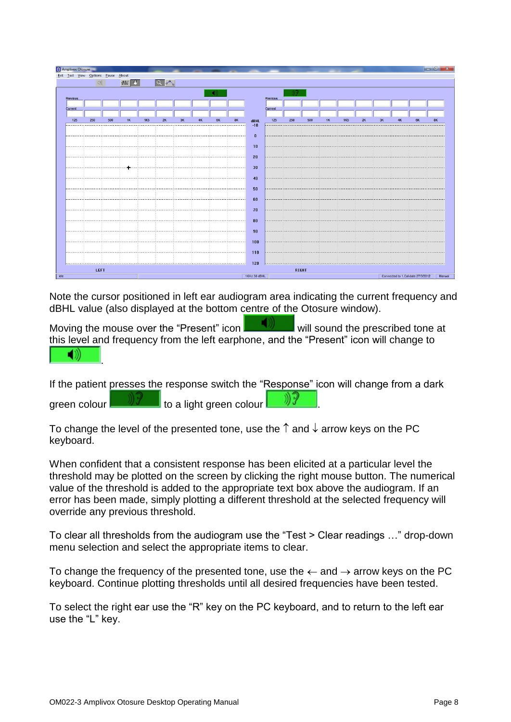| <b>a</b> Amplivox Otosure<br>Exit Test View Options Pause About |      |     |           |            |            |    |    |           |              |          |     |       |    |            |    |    |    |                                    |        |
|-----------------------------------------------------------------|------|-----|-----------|------------|------------|----|----|-----------|--------------|----------|-----|-------|----|------------|----|----|----|------------------------------------|--------|
|                                                                 | 1    |     | <b>MV</b> |            | $\sqrt{2}$ |    |    |           |              |          |     |       |    |            |    |    |    |                                    |        |
|                                                                 |      |     |           |            |            |    |    |           |              |          |     |       |    |            |    |    |    |                                    |        |
| Previous                                                        |      |     |           |            |            |    |    |           |              | Previous |     |       |    |            |    |    |    |                                    |        |
| Current                                                         |      |     |           |            |            |    |    |           |              | Current  |     |       |    |            |    |    |    |                                    |        |
| 125                                                             | 250  | 500 | 1K        | <b>1K5</b> | 2K         | 3К | 6K | <b>8K</b> | <b>dBHL</b>  | 125      | 250 | 500   | 1К | <b>1K5</b> | 2K | 3K | 4K |                                    |        |
|                                                                 |      |     |           |            |            |    |    |           | $-10$        |          |     |       |    |            |    |    |    |                                    |        |
|                                                                 |      |     |           |            |            |    |    |           | $\bf{0}$     |          |     |       |    |            |    |    |    |                                    |        |
|                                                                 |      |     |           |            |            |    |    |           | 10           |          |     |       |    |            |    |    |    |                                    |        |
|                                                                 |      |     |           |            |            |    |    |           | 20           |          |     |       |    |            |    |    |    |                                    |        |
|                                                                 |      |     |           |            |            |    |    |           | 30           |          |     |       |    |            |    |    |    |                                    |        |
|                                                                 |      |     |           |            |            |    |    | .         | 40           |          |     |       |    |            |    |    |    |                                    |        |
|                                                                 |      |     |           |            |            |    |    |           |              |          |     |       |    |            |    |    |    |                                    |        |
|                                                                 |      |     |           |            |            |    |    |           | 50           |          |     |       |    |            |    |    |    |                                    |        |
|                                                                 |      |     |           |            |            |    |    |           | 60           |          |     |       |    |            |    |    |    |                                    |        |
|                                                                 |      |     |           |            |            |    |    |           | 70           |          |     |       |    |            |    |    |    |                                    |        |
|                                                                 |      |     |           |            |            |    |    |           | 80           |          |     |       |    |            |    |    |    |                                    |        |
|                                                                 |      |     |           |            |            |    |    |           | 90           |          |     |       |    |            |    |    |    |                                    |        |
|                                                                 |      |     |           |            |            |    |    |           | 100          |          |     |       |    |            |    |    |    |                                    |        |
|                                                                 |      |     |           |            |            |    |    |           | 110          |          |     |       |    |            |    |    |    |                                    |        |
|                                                                 |      |     |           |            |            |    |    |           |              |          |     |       |    |            |    |    |    |                                    |        |
|                                                                 | LEFT |     |           |            |            |    |    |           | 120          |          |     | RIGHT |    |            |    |    |    |                                    |        |
|                                                                 |      |     |           |            |            |    |    |           | 1KHz 30 dBHL |          |     |       |    |            |    |    |    | Connected to 1, Cal date 27/3/2012 | Manual |

Note the cursor positioned in left ear audiogram area indicating the current frequency and dBHL value (also displayed at the bottom centre of the Otosure window).

Moving the mouse over the "Present" icon will sound the prescribed tone at this level and frequency from the left earphone, and the "Present" icon will change to ◀∭ .

If the patient presses the response switch the "Response" icon will change from a dark green colour  $\frac{1}{\sqrt{2}}$  to a light green colour

To change the level of the presented tone, use the  $\uparrow$  and  $\downarrow$  arrow keys on the PC keyboard.

When confident that a consistent response has been elicited at a particular level the threshold may be plotted on the screen by clicking the right mouse button. The numerical value of the threshold is added to the appropriate text box above the audiogram. If an error has been made, simply plotting a different threshold at the selected frequency will override any previous threshold.

To clear all thresholds from the audiogram use the "Test > Clear readings …" drop-down menu selection and select the appropriate items to clear.

To change the frequency of the presented tone, use the  $\leftarrow$  and  $\rightarrow$  arrow keys on the PC keyboard. Continue plotting thresholds until all desired frequencies have been tested.

To select the right ear use the "R" key on the PC keyboard, and to return to the left ear use the "L" key.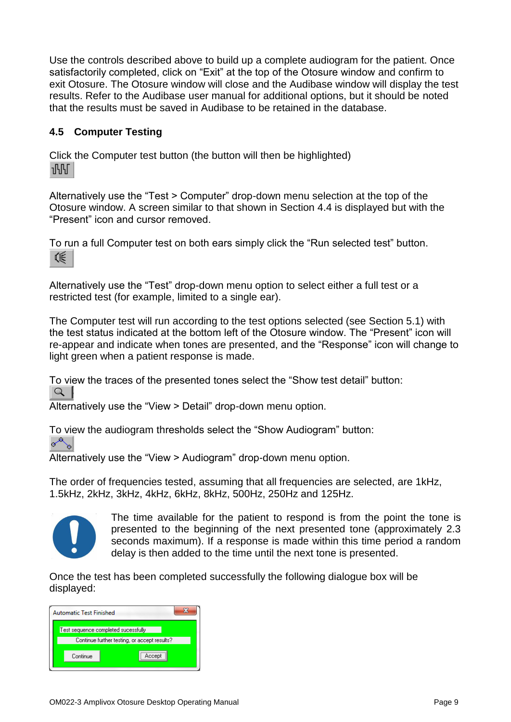Use the controls described above to build up a complete audiogram for the patient. Once satisfactorily completed, click on "Exit" at the top of the Otosure window and confirm to exit Otosure. The Otosure window will close and the Audibase window will display the test results. Refer to the Audibase user manual for additional options, but it should be noted that the results must be saved in Audibase to be retained in the database.

### **4.5 Computer Testing**

Click the Computer test button (the button will then be highlighted)  $\sqrt{15}$ 

Alternatively use the "Test > Computer" drop-down menu selection at the top of the Otosure window. A screen similar to that shown in Section 4.4 is displayed but with the "Present" icon and cursor removed.

To run a full Computer test on both ears simply click the "Run selected test" button. くうしょう (髪)

Alternatively use the "Test" drop-down menu option to select either a full test or a restricted test (for example, limited to a single ear).

The Computer test will run according to the test options selected (see Section 5.1) with the test status indicated at the bottom left of the Otosure window. The "Present" icon will re-appear and indicate when tones are presented, and the "Response" icon will change to light green when a patient response is made.

To view the traces of the presented tones select the "Show test detail" button:  $\Omega$ 

Alternatively use the "View > Detail" drop-down menu option.

To view the audiogram thresholds select the "Show Audiogram" button:<br> $\sqrt{\overline{\overline{C}}$ 

Alternatively use the "View > Audiogram" drop-down menu option.

The order of frequencies tested, assuming that all frequencies are selected, are 1kHz, 1.5kHz, 2kHz, 3kHz, 4kHz, 6kHz, 8kHz, 500Hz, 250Hz and 125Hz.



The time available for the patient to respond is from the point the tone is presented to the beginning of the next presented tone (approximately 2.3 seconds maximum). If a response is made within this time period a random delay is then added to the time until the next tone is presented.

Once the test has been completed successfully the following dialogue box will be displayed:

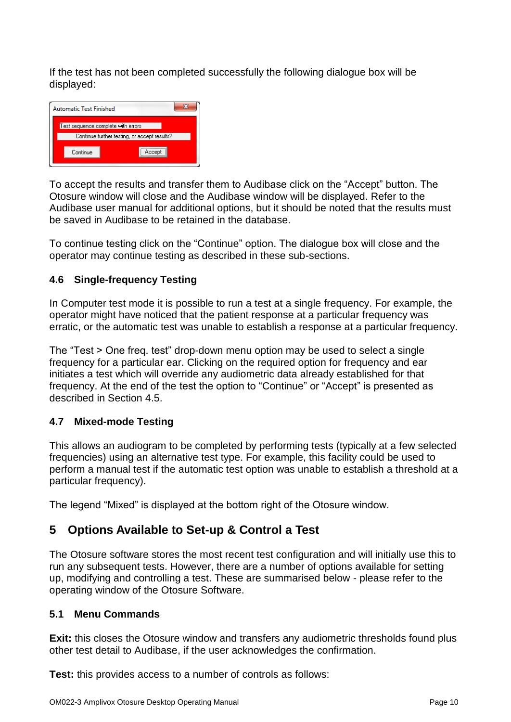If the test has not been completed successfully the following dialogue box will be displayed:



To accept the results and transfer them to Audibase click on the "Accept" button. The Otosure window will close and the Audibase window will be displayed. Refer to the Audibase user manual for additional options, but it should be noted that the results must be saved in Audibase to be retained in the database.

To continue testing click on the "Continue" option. The dialogue box will close and the operator may continue testing as described in these sub-sections.

### **4.6 Single-frequency Testing**

In Computer test mode it is possible to run a test at a single frequency. For example, the operator might have noticed that the patient response at a particular frequency was erratic, or the automatic test was unable to establish a response at a particular frequency.

The "Test > One freq. test" drop-down menu option may be used to select a single frequency for a particular ear. Clicking on the required option for frequency and ear initiates a test which will override any audiometric data already established for that frequency. At the end of the test the option to "Continue" or "Accept" is presented as described in Section 4.5.

#### **4.7 Mixed-mode Testing**

This allows an audiogram to be completed by performing tests (typically at a few selected frequencies) using an alternative test type. For example, this facility could be used to perform a manual test if the automatic test option was unable to establish a threshold at a particular frequency).

The legend "Mixed" is displayed at the bottom right of the Otosure window.

# **5 Options Available to Set-up & Control a Test**

The Otosure software stores the most recent test configuration and will initially use this to run any subsequent tests. However, there are a number of options available for setting up, modifying and controlling a test. These are summarised below - please refer to the operating window of the Otosure Software.

#### **5.1 Menu Commands**

**Exit:** this closes the Otosure window and transfers any audiometric thresholds found plus other test detail to Audibase, if the user acknowledges the confirmation.

**Test:** this provides access to a number of controls as follows: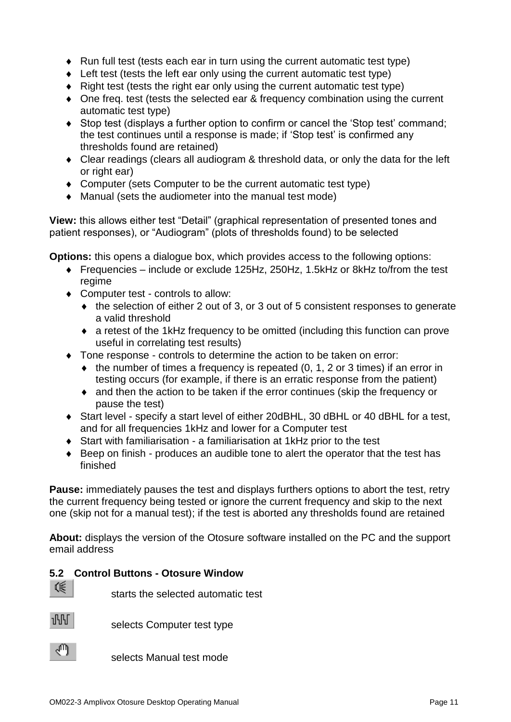- Run full test (tests each ear in turn using the current automatic test type)
- ◆ Left test (tests the left ear only using the current automatic test type)
- Right test (tests the right ear only using the current automatic test type)
- One freq. test (tests the selected ear & frequency combination using the current automatic test type)
- Stop test (displays a further option to confirm or cancel the 'Stop test' command; the test continues until a response is made; if 'Stop test' is confirmed any thresholds found are retained)
- Clear readings (clears all audiogram & threshold data, or only the data for the left or right ear)
- Computer (sets Computer to be the current automatic test type)
- Manual (sets the audiometer into the manual test mode)

**View:** this allows either test "Detail" (graphical representation of presented tones and patient responses), or "Audiogram" (plots of thresholds found) to be selected

**Options:** this opens a dialogue box, which provides access to the following options:

- Frequencies include or exclude 125Hz, 250Hz, 1.5kHz or 8kHz to/from the test regime
- ◆ Computer test controls to allow:
	- the selection of either 2 out of 3, or 3 out of 5 consistent responses to generate a valid threshold
	- a retest of the 1kHz frequency to be omitted (including this function can prove useful in correlating test results)
- Tone response controls to determine the action to be taken on error:
	- $\bullet$  the number of times a frequency is repeated (0, 1, 2 or 3 times) if an error in testing occurs (for example, if there is an erratic response from the patient)
	- and then the action to be taken if the error continues (skip the frequency or pause the test)
- Start level specify a start level of either 20dBHL, 30 dBHL or 40 dBHL for a test, and for all frequencies 1kHz and lower for a Computer test
- Start with familiarisation a familiarisation at 1kHz prior to the test
- Beep on finish produces an audible tone to alert the operator that the test has finished

**Pause:** immediately pauses the test and displays furthers options to abort the test, retry the current frequency being tested or ignore the current frequency and skip to the next one (skip not for a manual test); if the test is aborted any thresholds found are retained

**About:** displays the version of the Otosure software installed on the PC and the support email address

#### **5.2 Control Buttons - Otosure Window**

《

starts the selected automatic test



selects Computer test type



selects Manual test mode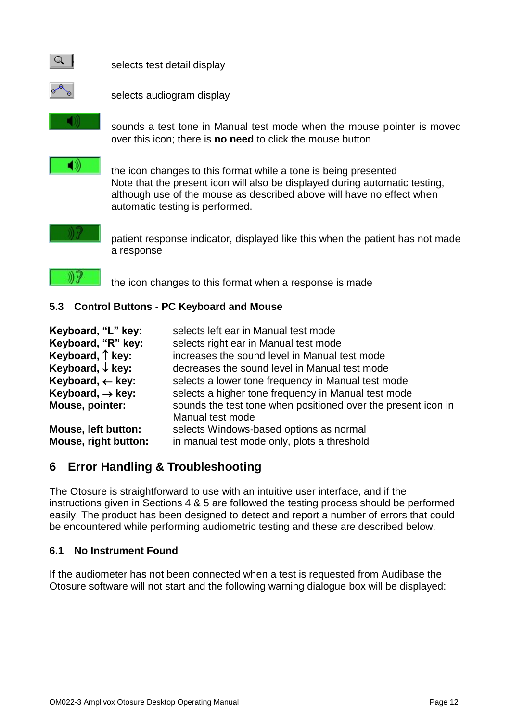

selects test detail display



selects audiogram display

sounds a test tone in Manual test mode when the mouse pointer is moved over this icon; there is **no need** to click the mouse button

the icon changes to this format while a tone is being presented Note that the present icon will also be displayed during automatic testing, although use of the mouse as described above will have no effect when automatic testing is performed.

patient response indicator, displayed like this when the patient has not made a response



the icon changes to this format when a response is made

### **5.3 Control Buttons - PC Keyboard and Mouse**

| Keyboard, "L" key:<br>Keyboard, "R" key:<br>Keyboard, 1 key:<br>Keyboard, $\downarrow$ key:<br>Keyboard, $\leftarrow$ key:<br>Keyboard, $\rightarrow$ key:<br>Mouse, pointer: | selects left ear in Manual test mode<br>selects right ear in Manual test mode<br>increases the sound level in Manual test mode<br>decreases the sound level in Manual test mode<br>selects a lower tone frequency in Manual test mode<br>selects a higher tone frequency in Manual test mode<br>sounds the test tone when positioned over the present icon in<br>Manual test mode |
|-------------------------------------------------------------------------------------------------------------------------------------------------------------------------------|-----------------------------------------------------------------------------------------------------------------------------------------------------------------------------------------------------------------------------------------------------------------------------------------------------------------------------------------------------------------------------------|
| <b>Mouse, left button:</b>                                                                                                                                                    | selects Windows-based options as normal                                                                                                                                                                                                                                                                                                                                           |
| Mouse, right button:                                                                                                                                                          | in manual test mode only, plots a threshold                                                                                                                                                                                                                                                                                                                                       |

# **6 Error Handling & Troubleshooting**

The Otosure is straightforward to use with an intuitive user interface, and if the instructions given in Sections 4 & 5 are followed the testing process should be performed easily. The product has been designed to detect and report a number of errors that could be encountered while performing audiometric testing and these are described below.

### **6.1 No Instrument Found**

If the audiometer has not been connected when a test is requested from Audibase the Otosure software will not start and the following warning dialogue box will be displayed: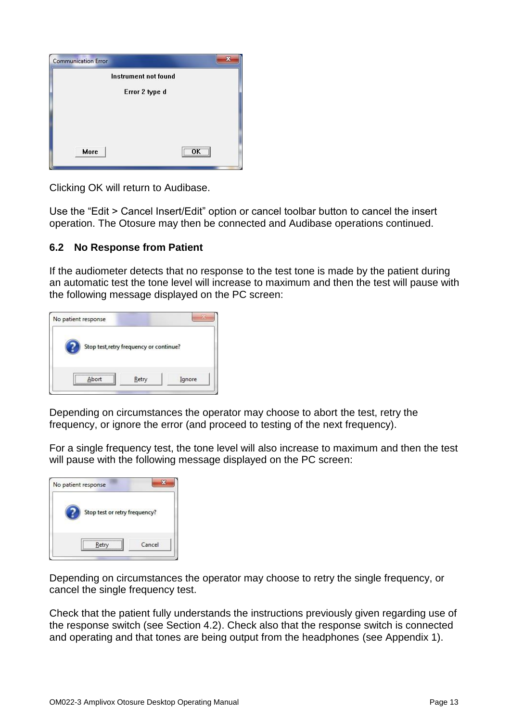|      | Instrument not found |
|------|----------------------|
|      | Error 2 type d       |
|      |                      |
|      |                      |
|      |                      |
|      |                      |
| More |                      |

Clicking OK will return to Audibase.

Use the "Edit > Cancel Insert/Edit" option or cancel toolbar button to cancel the insert operation. The Otosure may then be connected and Audibase operations continued.

#### **6.2 No Response from Patient**

If the audiometer detects that no response to the test tone is made by the patient during an automatic test the tone level will increase to maximum and then the test will pause with the following message displayed on the PC screen:

| Stop test, retry frequency or continue? |  |
|-----------------------------------------|--|
|                                         |  |
|                                         |  |

Depending on circumstances the operator may choose to abort the test, retry the frequency, or ignore the error (and proceed to testing of the next frequency).

For a single frequency test, the tone level will also increase to maximum and then the test will pause with the following message displayed on the PC screen:



Depending on circumstances the operator may choose to retry the single frequency, or cancel the single frequency test.

Check that the patient fully understands the instructions previously given regarding use of the response switch (see Section 4.2). Check also that the response switch is connected and operating and that tones are being output from the headphones (see Appendix 1).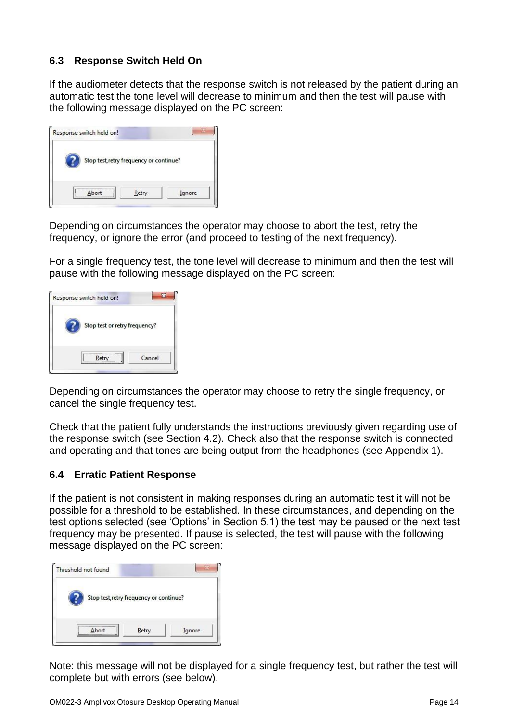### **6.3 Response Switch Held On**

If the audiometer detects that the response switch is not released by the patient during an automatic test the tone level will decrease to minimum and then the test will pause with the following message displayed on the PC screen:



Depending on circumstances the operator may choose to abort the test, retry the frequency, or ignore the error (and proceed to testing of the next frequency).

For a single frequency test, the tone level will decrease to minimum and then the test will pause with the following message displayed on the PC screen:

| Response switch held on!      |        |
|-------------------------------|--------|
| Stop test or retry frequency? |        |
| Retry                         | Cancel |

Depending on circumstances the operator may choose to retry the single frequency, or cancel the single frequency test.

Check that the patient fully understands the instructions previously given regarding use of the response switch (see Section 4.2). Check also that the response switch is connected and operating and that tones are being output from the headphones (see Appendix 1).

#### **6.4 Erratic Patient Response**

If the patient is not consistent in making responses during an automatic test it will not be possible for a threshold to be established. In these circumstances, and depending on the test options selected (see 'Options' in Section 5.1) the test may be paused or the next test frequency may be presented. If pause is selected, the test will pause with the following message displayed on the PC screen:



Note: this message will not be displayed for a single frequency test, but rather the test will complete but with errors (see below).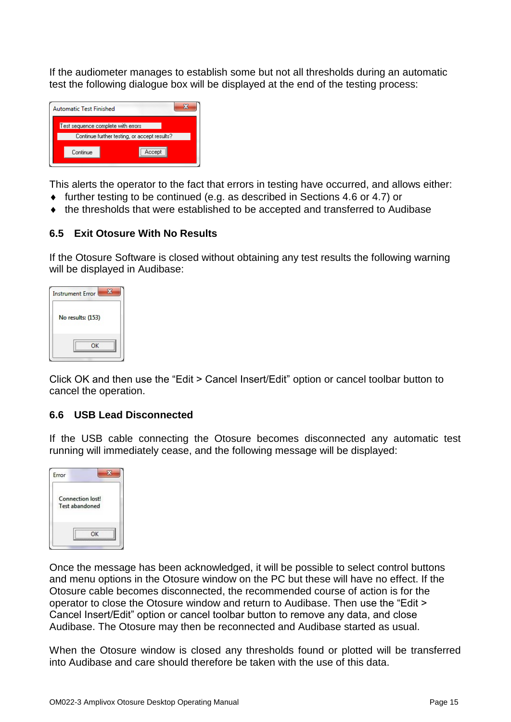If the audiometer manages to establish some but not all thresholds during an automatic test the following dialogue box will be displayed at the end of the testing process:

| Automatic Test Finished                                                            |  |  |  |  |  |  |
|------------------------------------------------------------------------------------|--|--|--|--|--|--|
| Test sequence complete with errors<br>Continue further testing, or accept results? |  |  |  |  |  |  |
|                                                                                    |  |  |  |  |  |  |
| Continue<br>Accept                                                                 |  |  |  |  |  |  |

This alerts the operator to the fact that errors in testing have occurred, and allows either:

- $\bullet$  further testing to be continued (e.g. as described in Sections 4.6 or 4.7) or
- the thresholds that were established to be accepted and transferred to Audibase

#### **6.5 Exit Otosure With No Results**

If the Otosure Software is closed without obtaining any test results the following warning will be displayed in Audibase:

| <b>Instrument Error</b> |
|-------------------------|
| No results: (153)       |
|                         |

Click OK and then use the "Edit > Cancel Insert/Edit" option or cancel toolbar button to cancel the operation.

#### **6.6 USB Lead Disconnected**

If the USB cable connecting the Otosure becomes disconnected any automatic test running will immediately cease, and the following message will be displayed:



Once the message has been acknowledged, it will be possible to select control buttons and menu options in the Otosure window on the PC but these will have no effect. If the Otosure cable becomes disconnected, the recommended course of action is for the operator to close the Otosure window and return to Audibase. Then use the "Edit > Cancel Insert/Edit" option or cancel toolbar button to remove any data, and close Audibase. The Otosure may then be reconnected and Audibase started as usual.

When the Otosure window is closed any thresholds found or plotted will be transferred into Audibase and care should therefore be taken with the use of this data.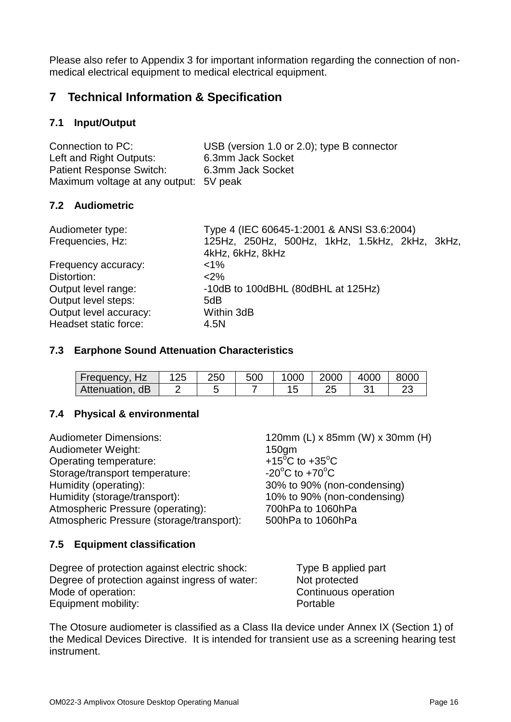Please also refer to Appendix 3 for important information regarding the connection of nonmedical electrical equipment to medical electrical equipment.

# **7 Technical Information & Specification**

### **7.1 Input/Output**

| Connection to PC:                      | USB (version 1.0 or 2.0); type B connector |
|----------------------------------------|--------------------------------------------|
| Left and Right Outputs:                | 6.3mm Jack Socket                          |
| <b>Patient Response Switch:</b>        | 6.3mm Jack Socket                          |
| Maximum voltage at any output: 5V peak |                                            |

#### **7.2 Audiometric**

| Audiometer type:       | Type 4 (IEC 60645-1:2001 & ANSI S3.6:2004)     |
|------------------------|------------------------------------------------|
| Frequencies, Hz:       | 125Hz, 250Hz, 500Hz, 1kHz, 1.5kHz, 2kHz, 3kHz, |
|                        | 4kHz, 6kHz, 8kHz                               |
| Frequency accuracy:    | $< 1\%$                                        |
| Distortion:            | $<$ 2%                                         |
| Output level range:    | -10dB to 100dBHL (80dBHL at 125Hz)             |
| Output level steps:    | 5dB                                            |
| Output level accuracy: | Within 3dB                                     |
| Headset static force:  | 4.5N                                           |

#### **7.3 Earphone Sound Attenuation Characteristics**

| ' Frequency, Hz∖ | 250 | 500 | 000 | 2000 | 4000 | 8000    |
|------------------|-----|-----|-----|------|------|---------|
| Attenuation, dB  |     |     |     | LL   |      | n,<br>້ |

#### **7.4 Physical & environmental**

| <b>Audiometer Dimensions:</b>             | 120mm (L) x 85mm (W) x 30mm (H)          |
|-------------------------------------------|------------------------------------------|
| Audiometer Weight:                        | 150 <sub>gm</sub>                        |
| Operating temperature:                    | +15 <sup>o</sup> C to +35 <sup>o</sup> C |
| Storage/transport temperature:            | $-20^{\circ}$ C to $+70^{\circ}$ C       |
| Humidity (operating):                     | 30% to 90% (non-condensing)              |
| Humidity (storage/transport):             | 10% to 90% (non-condensing)              |
| Atmospheric Pressure (operating):         | 700hPa to 1060hPa                        |
| Atmospheric Pressure (storage/transport): | 500hPa to 1060hPa                        |
|                                           |                                          |

#### **7.5 Equipment classification**

| Degree of protection against electric shock:   | Type B applied part  |
|------------------------------------------------|----------------------|
| Degree of protection against ingress of water: | Not protected        |
| Mode of operation:                             | Continuous operation |
| Equipment mobility:                            | Portable             |

The Otosure audiometer is classified as a Class IIa device under Annex IX (Section 1) of the Medical Devices Directive. It is intended for transient use as a screening hearing test instrument.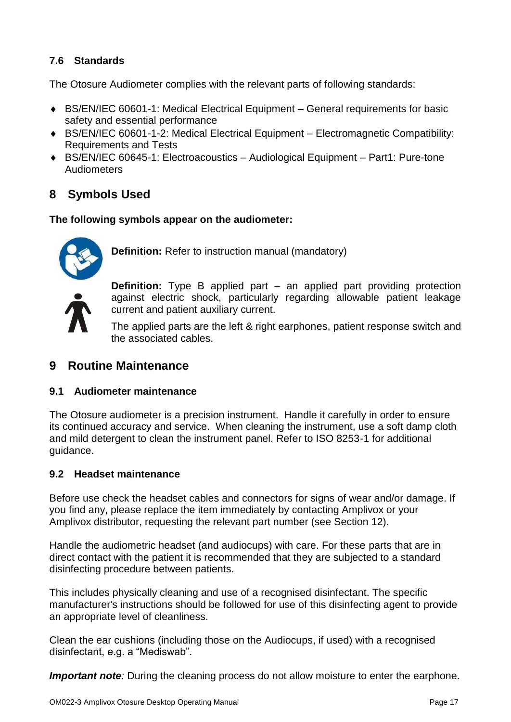### **7.6 Standards**

The Otosure Audiometer complies with the relevant parts of following standards:

- ◆ BS/EN/IEC 60601-1: Medical Electrical Equipment General requirements for basic safety and essential performance
- BS/EN/IEC 60601-1-2: Medical Electrical Equipment Electromagnetic Compatibility: Requirements and Tests
- ◆ BS/EN/IEC 60645-1: Electroacoustics Audiological Equipment Part1: Pure-tone Audiometers

# **8 Symbols Used**

**The following symbols appear on the audiometer:**



**Definition:** Refer to instruction manual (mandatory)

**Definition:** Type B applied part – an applied part providing protection against electric shock, particularly regarding allowable patient leakage current and patient auxiliary current.

The applied parts are the left & right earphones, patient response switch and the associated cables.

# **9 Routine Maintenance**

#### **9.1 Audiometer maintenance**

The Otosure audiometer is a precision instrument. Handle it carefully in order to ensure its continued accuracy and service. When cleaning the instrument, use a soft damp cloth and mild detergent to clean the instrument panel. Refer to ISO 8253-1 for additional guidance.

#### **9.2 Headset maintenance**

Before use check the headset cables and connectors for signs of wear and/or damage. If you find any, please replace the item immediately by contacting Amplivox or your Amplivox distributor, requesting the relevant part number (see Section 12).

Handle the audiometric headset (and audiocups) with care. For these parts that are in direct contact with the patient it is recommended that they are subjected to a standard disinfecting procedure between patients.

This includes physically cleaning and use of a recognised disinfectant. The specific manufacturer's instructions should be followed for use of this disinfecting agent to provide an appropriate level of cleanliness.

Clean the ear cushions (including those on the Audiocups, if used) with a recognised disinfectant, e.g. a "Mediswab".

*Important note:* During the cleaning process do not allow moisture to enter the earphone.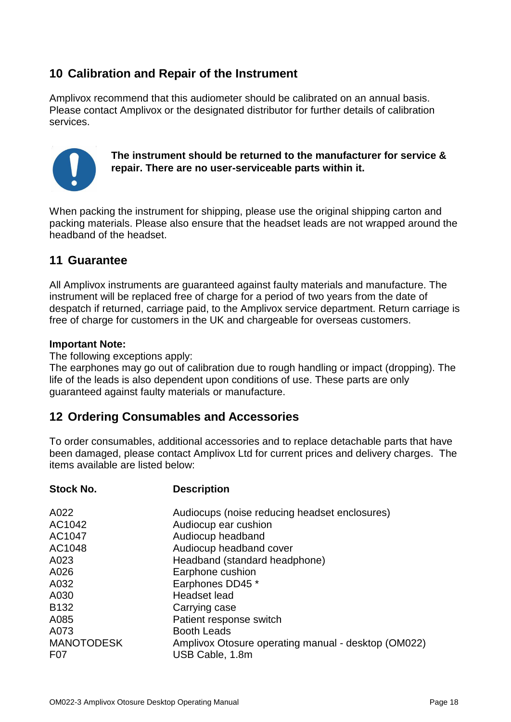# **10 Calibration and Repair of the Instrument**

Amplivox recommend that this audiometer should be calibrated on an annual basis. Please contact Amplivox or the designated distributor for further details of calibration services.



**The instrument should be returned to the manufacturer for service & repair. There are no user-serviceable parts within it.**

When packing the instrument for shipping, please use the original shipping carton and packing materials. Please also ensure that the headset leads are not wrapped around the headband of the headset.

### **11 Guarantee**

All Amplivox instruments are guaranteed against faulty materials and manufacture. The instrument will be replaced free of charge for a period of two years from the date of despatch if returned, carriage paid, to the Amplivox service department. Return carriage is free of charge for customers in the UK and chargeable for overseas customers.

#### **Important Note:**

The following exceptions apply:

**Stock No. Description**

The earphones may go out of calibration due to rough handling or impact (dropping). The life of the leads is also dependent upon conditions of use. These parts are only guaranteed against faulty materials or manufacture.

# **12 Ordering Consumables and Accessories**

To order consumables, additional accessories and to replace detachable parts that have been damaged, please contact Amplivox Ltd for current prices and delivery charges. The items available are listed below:

| A022              | Audiocups (noise reducing headset enclosures)       |
|-------------------|-----------------------------------------------------|
| AC1042            | Audiocup ear cushion                                |
| AC1047            | Audiocup headband                                   |
| AC1048            | Audiocup headband cover                             |
| A023              | Headband (standard headphone)                       |
| A026              | Earphone cushion                                    |
| A032              | Earphones DD45 *                                    |
| A030              | Headset lead                                        |
| B <sub>132</sub>  | Carrying case                                       |
| A085              | Patient response switch                             |
| A073              | <b>Booth Leads</b>                                  |
| <b>MANOTODESK</b> | Amplivox Otosure operating manual - desktop (OM022) |
| F <sub>0</sub> 7  | USB Cable, 1.8m                                     |
|                   |                                                     |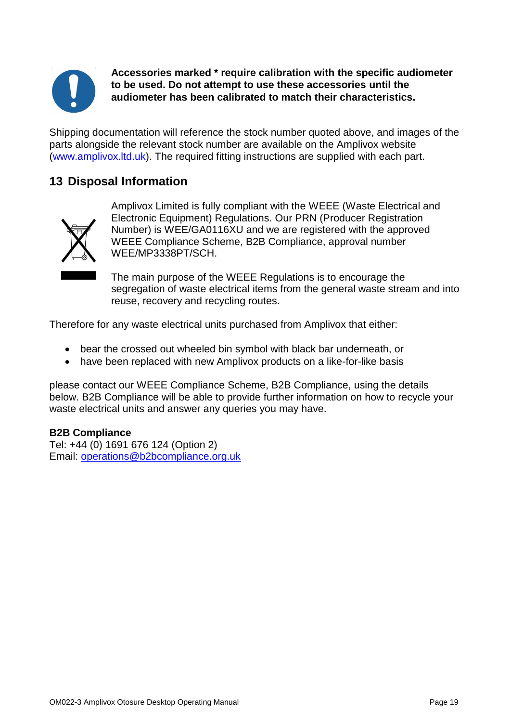

**Accessories marked \* require calibration with the specific audiometer to be used. Do not attempt to use these accessories until the audiometer has been calibrated to match their characteristics.**

Shipping documentation will reference the stock number quoted above, and images of the parts alongside the relevant stock number are available on the Amplivox website [\(www.amplivox.ltd.uk\)](http://www.amplivox.ltd.uk/). The required fitting instructions are supplied with each part.

# **13 Disposal Information**



Amplivox Limited is fully compliant with the WEEE (Waste Electrical and Electronic Equipment) Regulations. Our PRN (Producer Registration Number) is WEE/GA0116XU and we are registered with the approved WEEE Compliance Scheme, B2B Compliance, approval number WEE/MP3338PT/SCH.

The main purpose of the WEEE Regulations is to encourage the segregation of waste electrical items from the general waste stream and into reuse, recovery and recycling routes.

Therefore for any waste electrical units purchased from Amplivox that either:

- bear the crossed out wheeled bin symbol with black bar underneath, or
- have been replaced with new Amplivox products on a like-for-like basis

please contact our WEEE Compliance Scheme, B2B Compliance, using the details below. B2B Compliance will be able to provide further information on how to recycle your waste electrical units and answer any queries you may have.

#### **B2B Compliance**

Tel: +44 (0) 1691 676 124 (Option 2) Email: [operations@b2bcompliance.org.uk](mailto:operations@b2bcompliance.org.uk)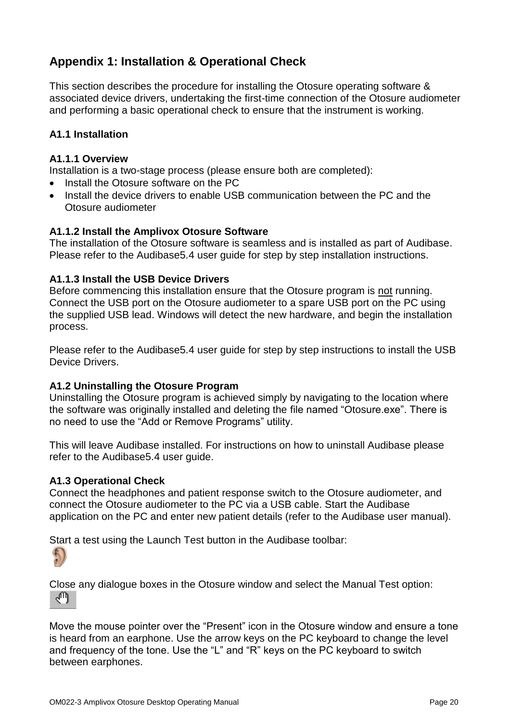# **Appendix 1: Installation & Operational Check**

This section describes the procedure for installing the Otosure operating software & associated device drivers, undertaking the first-time connection of the Otosure audiometer and performing a basic operational check to ensure that the instrument is working.

#### **A1.1 Installation**

#### **A1.1.1 Overview**

Installation is a two-stage process (please ensure both are completed):

- Install the Otosure software on the PC
- Install the device drivers to enable USB communication between the PC and the Otosure audiometer

#### **A1.1.2 Install the Amplivox Otosure Software**

The installation of the Otosure software is seamless and is installed as part of Audibase. Please refer to the Audibase5.4 user guide for step by step installation instructions.

#### **A1.1.3 Install the USB Device Drivers**

Before commencing this installation ensure that the Otosure program is not running. Connect the USB port on the Otosure audiometer to a spare USB port on the PC using the supplied USB lead. Windows will detect the new hardware, and begin the installation process.

Please refer to the Audibase5.4 user guide for step by step instructions to install the USB Device Drivers.

#### **A1.2 Uninstalling the Otosure Program**

Uninstalling the Otosure program is achieved simply by navigating to the location where the software was originally installed and deleting the file named "Otosure.exe". There is no need to use the "Add or Remove Programs" utility.

This will leave Audibase installed. For instructions on how to uninstall Audibase please refer to the Audibase5.4 user guide.

#### **A1.3 Operational Check**

Connect the headphones and patient response switch to the Otosure audiometer, and connect the Otosure audiometer to the PC via a USB cable. Start the Audibase application on the PC and enter new patient details (refer to the Audibase user manual).

Start a test using the Launch Test button in the Audibase toolbar:



Close any dialogue boxes in the Otosure window and select the Manual Test option: ∕™

Move the mouse pointer over the "Present" icon in the Otosure window and ensure a tone is heard from an earphone. Use the arrow keys on the PC keyboard to change the level and frequency of the tone. Use the "L" and "R" keys on the PC keyboard to switch between earphones.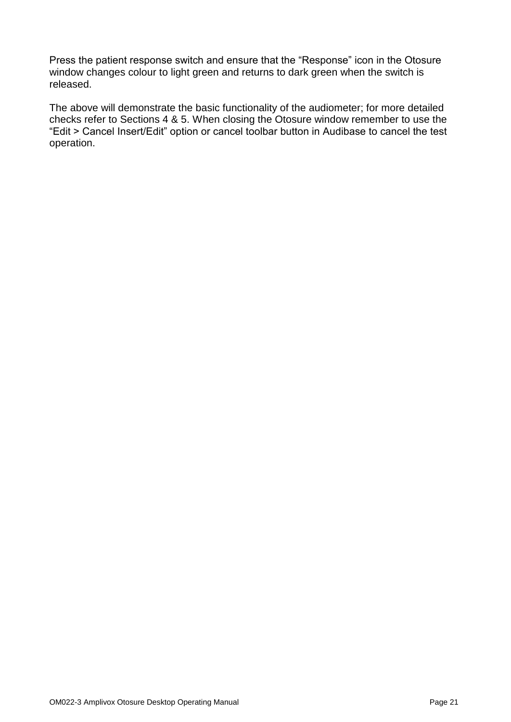Press the patient response switch and ensure that the "Response" icon in the Otosure window changes colour to light green and returns to dark green when the switch is released.

The above will demonstrate the basic functionality of the audiometer; for more detailed checks refer to Sections 4 & 5. When closing the Otosure window remember to use the "Edit > Cancel Insert/Edit" option or cancel toolbar button in Audibase to cancel the test operation.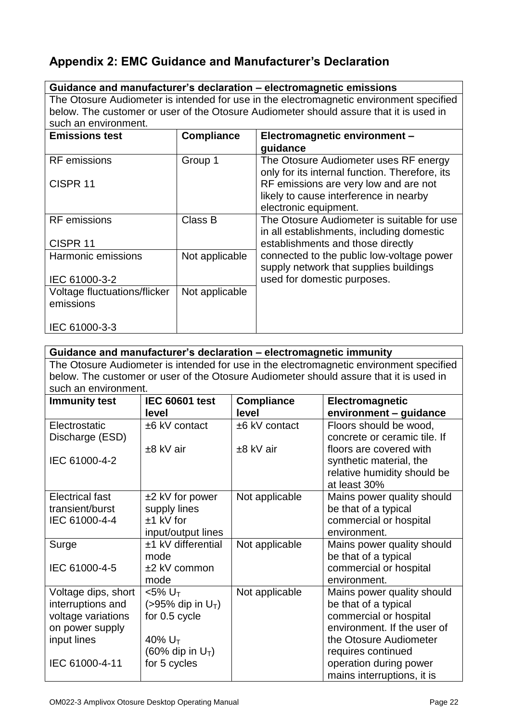# **Appendix 2: EMC Guidance and Manufacturer's Declaration**

|                                           |                   | Guidance and manufacturer's declaration - electromagnetic emissions                                                                                                               |
|-------------------------------------------|-------------------|-----------------------------------------------------------------------------------------------------------------------------------------------------------------------------------|
| such an environment.                      |                   | The Otosure Audiometer is intended for use in the electromagnetic environment specified<br>below. The customer or user of the Otosure Audiometer should assure that it is used in |
| <b>Emissions test</b>                     | <b>Compliance</b> | Electromagnetic environment -<br>guidance                                                                                                                                         |
| <b>RF</b> emissions                       | Group 1           | The Otosure Audiometer uses RF energy<br>only for its internal function. Therefore, its                                                                                           |
| CISPR <sub>11</sub>                       |                   | RF emissions are very low and are not<br>likely to cause interference in nearby<br>electronic equipment.                                                                          |
| <b>RF</b> emissions                       | Class B           | The Otosure Audiometer is suitable for use<br>in all establishments, including domestic                                                                                           |
| CISPR <sub>11</sub>                       |                   | establishments and those directly                                                                                                                                                 |
| Harmonic emissions<br>IEC 61000-3-2       | Not applicable    | connected to the public low-voltage power<br>supply network that supplies buildings<br>used for domestic purposes.                                                                |
|                                           |                   |                                                                                                                                                                                   |
| Voltage fluctuations/flicker<br>emissions | Not applicable    |                                                                                                                                                                                   |
| IEC 61000-3-3                             |                   |                                                                                                                                                                                   |

# **Guidance and manufacturer's declaration – electromagnetic immunity**

The Otosure Audiometer is intended for use in the electromagnetic environment specified below. The customer or user of the Otosure Audiometer should assure that it is used in such an environment.

| <b>Immunity test</b>   | <b>IEC 60601 test</b>            | <b>Compliance</b> | Electromagnetic              |
|------------------------|----------------------------------|-------------------|------------------------------|
|                        |                                  |                   |                              |
|                        | level                            | level             | environment - guidance       |
| Electrostatic          | ±6 kV contact                    | ±6 kV contact     | Floors should be wood,       |
| Discharge (ESD)        |                                  |                   | concrete or ceramic tile. If |
|                        | $±8$ kV air                      | $±8$ kV air       | floors are covered with      |
| IEC 61000-4-2          |                                  |                   | synthetic material, the      |
|                        |                                  |                   | relative humidity should be  |
|                        |                                  |                   | at least 30%                 |
| <b>Electrical fast</b> | $±2$ kV for power                | Not applicable    | Mains power quality should   |
| transient/burst        | supply lines                     |                   | be that of a typical         |
| IEC 61000-4-4          | $±1$ kV for                      |                   | commercial or hospital       |
|                        | input/output lines               |                   | environment.                 |
| Surge                  | $±1$ kV differential             | Not applicable    | Mains power quality should   |
|                        | mode                             |                   | be that of a typical         |
| IEC 61000-4-5          | $±2$ kV common                   |                   | commercial or hospital       |
|                        | mode                             |                   | environment.                 |
| Voltage dips, short    | $<$ 5% $UT$                      | Not applicable    | Mains power quality should   |
| interruptions and      | $(>95\%$ dip in U <sub>T</sub> ) |                   | be that of a typical         |
| voltage variations     | for 0.5 cycle                    |                   | commercial or hospital       |
| on power supply        |                                  |                   | environment. If the user of  |
| input lines            | 40% U <sub>T</sub>               |                   | the Otosure Audiometer       |
|                        | (60% dip in $U_T$ )              |                   | requires continued           |
| IEC 61000-4-11         | for 5 cycles                     |                   | operation during power       |
|                        |                                  |                   | mains interruptions, it is   |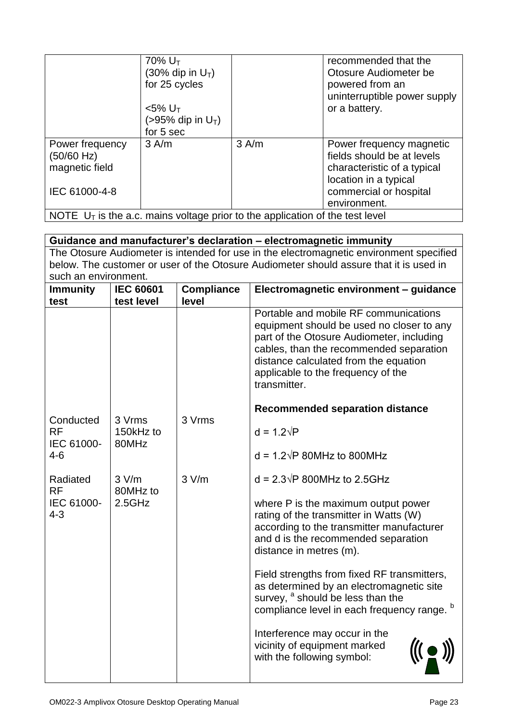|                                                                                 | 70% $U_T$<br>(30% dip in $U_T$ )<br>for 25 cycles<br>$<$ 5% U <sub>T</sub><br>$(>95\%$ dip in U <sub>T</sub> )<br>for 5 sec |         | recommended that the<br>Otosure Audiometer be<br>powered from an<br>uninterruptible power supply<br>or a battery.                                        |
|---------------------------------------------------------------------------------|-----------------------------------------------------------------------------------------------------------------------------|---------|----------------------------------------------------------------------------------------------------------------------------------------------------------|
| Power frequency<br>(50/60 Hz)<br>magnetic field<br>IEC 61000-4-8                | 3 A/m                                                                                                                       | $3$ A/m | Power frequency magnetic<br>fields should be at levels<br>characteristic of a typical<br>location in a typical<br>commercial or hospital<br>environment. |
| NOTE $U_T$ is the a.c. mains voltage prior to the application of the test level |                                                                                                                             |         |                                                                                                                                                          |

| Guidance and manufacturer's declaration - electromagnetic immunity                      |                              |                   |                                                                                                                                                                                                                                                                           |  |
|-----------------------------------------------------------------------------------------|------------------------------|-------------------|---------------------------------------------------------------------------------------------------------------------------------------------------------------------------------------------------------------------------------------------------------------------------|--|
| The Otosure Audiometer is intended for use in the electromagnetic environment specified |                              |                   |                                                                                                                                                                                                                                                                           |  |
| below. The customer or user of the Otosure Audiometer should assure that it is used in  |                              |                   |                                                                                                                                                                                                                                                                           |  |
|                                                                                         | such an environment.         |                   |                                                                                                                                                                                                                                                                           |  |
| <b>Immunity</b>                                                                         | <b>IEC 60601</b>             | <b>Compliance</b> | Electromagnetic environment - guidance                                                                                                                                                                                                                                    |  |
| test                                                                                    | test level                   | level             |                                                                                                                                                                                                                                                                           |  |
|                                                                                         |                              |                   | Portable and mobile RF communications<br>equipment should be used no closer to any<br>part of the Otosure Audiometer, including<br>cables, than the recommended separation<br>distance calculated from the equation<br>applicable to the frequency of the<br>transmitter. |  |
|                                                                                         |                              |                   | <b>Recommended separation distance</b>                                                                                                                                                                                                                                    |  |
| Conducted<br><b>RF</b><br>IEC 61000-                                                    | 3 Vrms<br>150kHz to<br>80MHz | 3 Vrms            | $d = 1.2\sqrt{P}$                                                                                                                                                                                                                                                         |  |
| $4 - 6$                                                                                 |                              |                   | $d = 1.2\sqrt{P}$ 80MHz to 800MHz                                                                                                                                                                                                                                         |  |
| Radiated<br><b>RF</b>                                                                   | 3 V/m<br>80MHz to            | 3 V/m             | $d = 2.3\sqrt{P}$ 800MHz to 2.5GHz                                                                                                                                                                                                                                        |  |
| IEC 61000-<br>$4 - 3$                                                                   | 2.5GHz                       |                   | where P is the maximum output power<br>rating of the transmitter in Watts (W)<br>according to the transmitter manufacturer<br>and d is the recommended separation<br>distance in metres (m).                                                                              |  |
|                                                                                         |                              |                   | Field strengths from fixed RF transmitters,<br>as determined by an electromagnetic site<br>survey, <sup>a</sup> should be less than the<br>compliance level in each frequency range. b                                                                                    |  |
|                                                                                         |                              |                   | Interference may occur in the<br>vicinity of equipment marked<br>with the following symbol:                                                                                                                                                                               |  |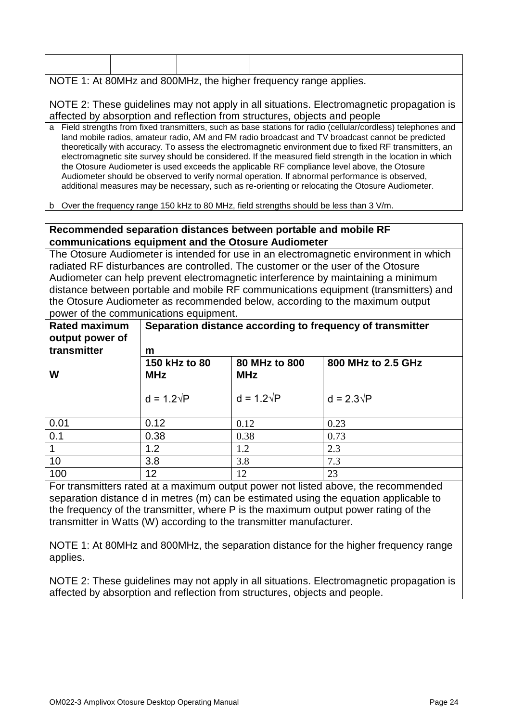| NOTE 1: At 80MHz and 800MHz, the higher frequency range applies. |  |                                                                                                                                                                                                                                                                                                                                                                                                                                                                                                                                                                                                                                                                                                                                                  |  |  |  |
|------------------------------------------------------------------|--|--------------------------------------------------------------------------------------------------------------------------------------------------------------------------------------------------------------------------------------------------------------------------------------------------------------------------------------------------------------------------------------------------------------------------------------------------------------------------------------------------------------------------------------------------------------------------------------------------------------------------------------------------------------------------------------------------------------------------------------------------|--|--|--|
|                                                                  |  | NOTE 2: These guidelines may not apply in all situations. Electromagnetic propagation is<br>affected by absorption and reflection from structures, objects and people                                                                                                                                                                                                                                                                                                                                                                                                                                                                                                                                                                            |  |  |  |
|                                                                  |  | a Field strengths from fixed transmitters, such as base stations for radio (cellular/cordless) telephones and<br>land mobile radios, amateur radio, AM and FM radio broadcast and TV broadcast cannot be predicted<br>theoretically with accuracy. To assess the electromagnetic environment due to fixed RF transmitters, an<br>electromagnetic site survey should be considered. If the measured field strength in the location in which<br>the Otosure Audiometer is used exceeds the applicable RF compliance level above, the Otosure<br>Audiometer should be observed to verify normal operation. If abnormal performance is observed,<br>additional measures may be necessary, such as re-orienting or relocating the Otosure Audiometer. |  |  |  |

b Over the frequency range 150 kHz to 80 MHz, field strengths should be less than 3 V/m.

#### **Recommended separation distances between portable and mobile RF communications equipment and the Otosure Audiometer**

The Otosure Audiometer is intended for use in an electromagnetic environment in which radiated RF disturbances are controlled. The customer or the user of the Otosure Audiometer can help prevent electromagnetic interference by maintaining a minimum distance between portable and mobile RF communications equipment (transmitters) and the Otosure Audiometer as recommended below, according to the maximum output power of the communications equipment.

| <b>Rated maximum</b><br>output power of<br>transmitter | Separation distance according to frequency of transmitter<br>m |                             |                    |  |
|--------------------------------------------------------|----------------------------------------------------------------|-----------------------------|--------------------|--|
| W                                                      | 150 kHz to 80<br><b>MHz</b>                                    | 80 MHz to 800<br><b>MHz</b> | 800 MHz to 2.5 GHz |  |
|                                                        | $d = 1.2\sqrt{P}$                                              | $d = 1.2\sqrt{P}$           | $d = 2.3\sqrt{P}$  |  |
| 0.01                                                   | 0.12                                                           | 0.12                        | 0.23               |  |
| 0.1                                                    | 0.38                                                           | 0.38                        | 0.73               |  |
|                                                        | 1.2                                                            | 1.2                         | 2.3                |  |
| 10                                                     | 3.8                                                            | 3.8                         | 7.3                |  |
| 100                                                    | 12                                                             | 12                          | 23                 |  |

For transmitters rated at a maximum output power not listed above, the recommended separation distance d in metres (m) can be estimated using the equation applicable to the frequency of the transmitter, where P is the maximum output power rating of the transmitter in Watts (W) according to the transmitter manufacturer.

NOTE 1: At 80MHz and 800MHz, the separation distance for the higher frequency range applies.

NOTE 2: These guidelines may not apply in all situations. Electromagnetic propagation is affected by absorption and reflection from structures, objects and people.